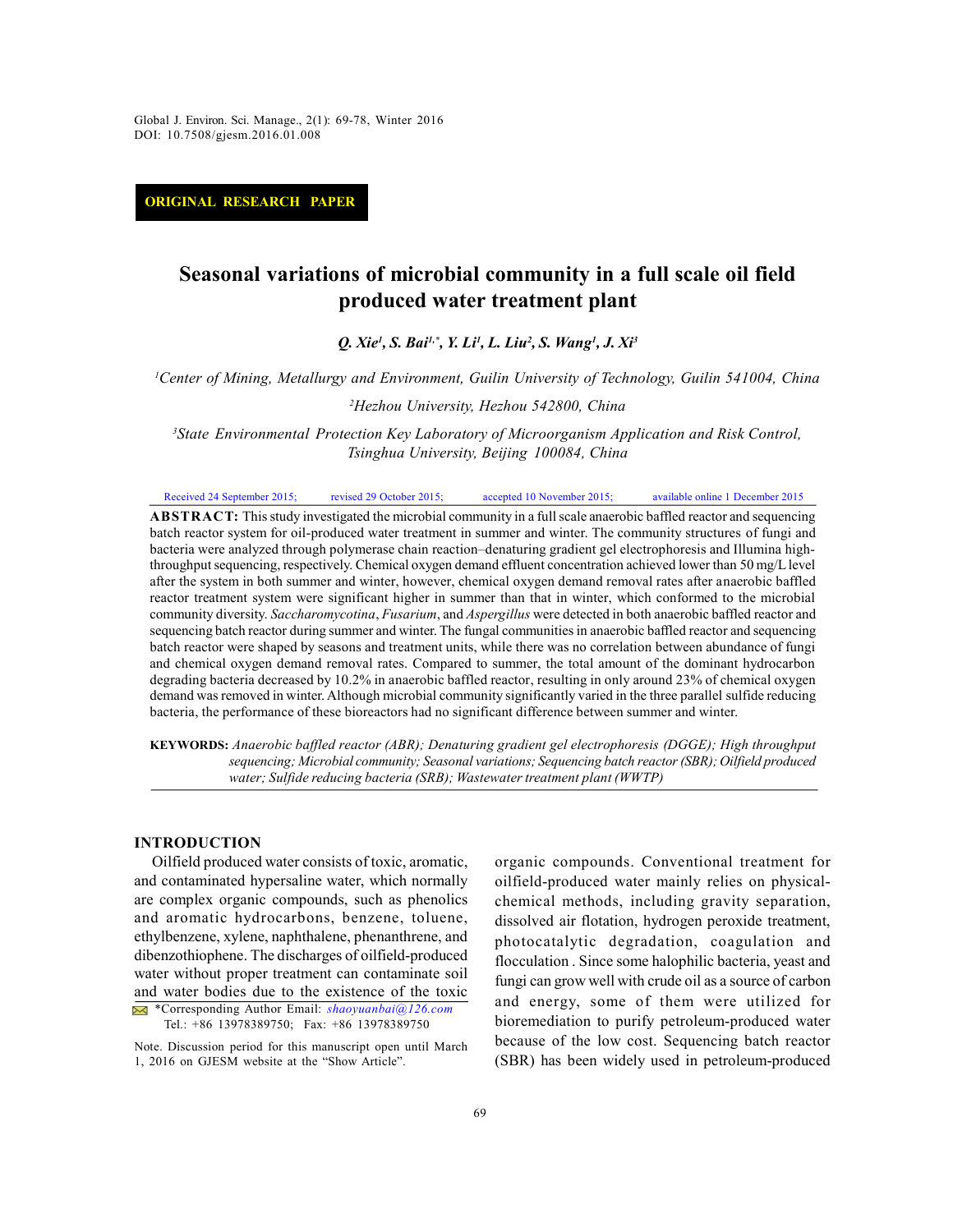*Global J. Environ. Sci. Manage., 2(1): 69-78, Winter 2016* Global J. Environ. Sci. Manage., 2(1): 69-78, Winter 2016 DOI: 10.7508/gjesm.2016.01.008

**ORIGINAL RESEARCH PAPER**

# **Seasonal variations of microbial community in a full scale oil field produced water treatment plant**

*Q. Xie<sup>1</sup> , S. Bai1,\*, Y. Li<sup>1</sup> , L. Liu<sup>2</sup> , S. Wang<sup>1</sup> , J. Xi<sup>3</sup>*

*<sup>1</sup>Center of Mining, Metallurgy and Environment, Guilin University of Technology, Guilin 541004, China*

*<sup>2</sup>Hezhou University, Hezhou 542800, China*

*<sup>3</sup>State Environmental Protection Key Laboratory of Microorganism Application and Risk Control, Tsinghua University, Beijing 100084, China*

Received 24 September 2015; revised 29 October 2015; accepted 10 November 2015; available online 1 December 2015

**ABSTRACT:** This study investigated the microbial community in a full scale anaerobic baffled reactor and sequencing Francetor 2015; This study investigated the microbial community in a full scale anaerobic baffled reactor and sequencing<br> **ABSTRACT:** This study investigated the microbial community in a full scale anaerobic baffled reacto bacteria were analyzed through polymerase chain reaction–denaturing gradient gel electrophoresis and Illumina highthroughput sequencing, respectively. Chemical oxygen demand effluent concentration achieved lower than 50 mg/L level after the system in both summer and winter, however, chemical oxygen demand removal rates after anaerobic baffled reactor treatment system were significant higher in summer than that in winter, which conformed to the microbial community diversity. *Saccharomycotina*, *Fusarium*, and *Aspergillus* were detected in both anaerobic baffled reactor and bacteria were analyzed through polymerase chain reaction-denaturing gradient gel electrophoresis and Illumina high-<br>throughput sequencing, respectively. Chemical oxygen demand effluent concentration achieved lower than 50 batch reactor were shaped by seasons and treatment units, while there was no correlation between abundance of fungi and chemical oxygen demand removal rates. Compared to summer, the total amount of the dominant hydrocarbon degrading bacteria decreased by 10.2% in anaerobic baffled reactor, resulting in only around 23% of chemical oxygen sequencing batch reactor during summer and winter. The fungal communities in anaerobic baffled reactor and sequencing bacteria, the performance of these bioreactors had no significant difference between summer and winter. demand was removed in winter. Although microbial community significantly varied in the three parallel sulfide reducing bacteria, the performance of these bioreactors had no significant difference between summer and winter.

*sequencing; Microbial community; Seasonal variations; Sequencing batch reactor (SBR); Oilfield produced water; Sulfide reducing bacteria (SRB); Wastewater treatment plant (WWTP)*

## **INTRODUCTION**

ibenzothiophene. The discharges of oilfield-produced<br>ater without proper treatment can contaminate soil<br>ind water bodies due to the existence of the toxic<br> $\frac{1}{2}$ \*Corresponding Author Email: *shaoyuanbai@126.com*<br>Tel.: + Oilfield produced water consists of toxic, aromatic, and contaminated hypersaline water, which normally are complex organic compounds, such as phenolics and aromatic hydrocarbons, benzene, toluene, ethylbenzene, xylene, naphthalene, phenanthrene, and dibenzothiophene. The discharges of oilfield-produced water without proper treatment can contaminate soil and water bodies due to the existence of the toxic  $\frac{1}{2}$ 

\*Corresponding Author Email: *shaoyuanbai@126.com*

Note. Discussion period for this manuscript open until March 1, 2016 on GJESM website at the "Show Article".

organic compounds. Conventional treatment for oilfield-produced water mainly relies on physicalchemical methods, including gravity separation, dissolved air flotation, hydrogen peroxide treatment, photocatalytic degradation, coagulation and flocculation . Since some halophilic bacteria, yeast and fungi can grow well with crude oil as a source of carbon and energy, some of them were utilized for bioremediation to purify petroleum-produced water because of the low cost. Sequencing batch reactor (SBR) has been widely used in petroleum-produced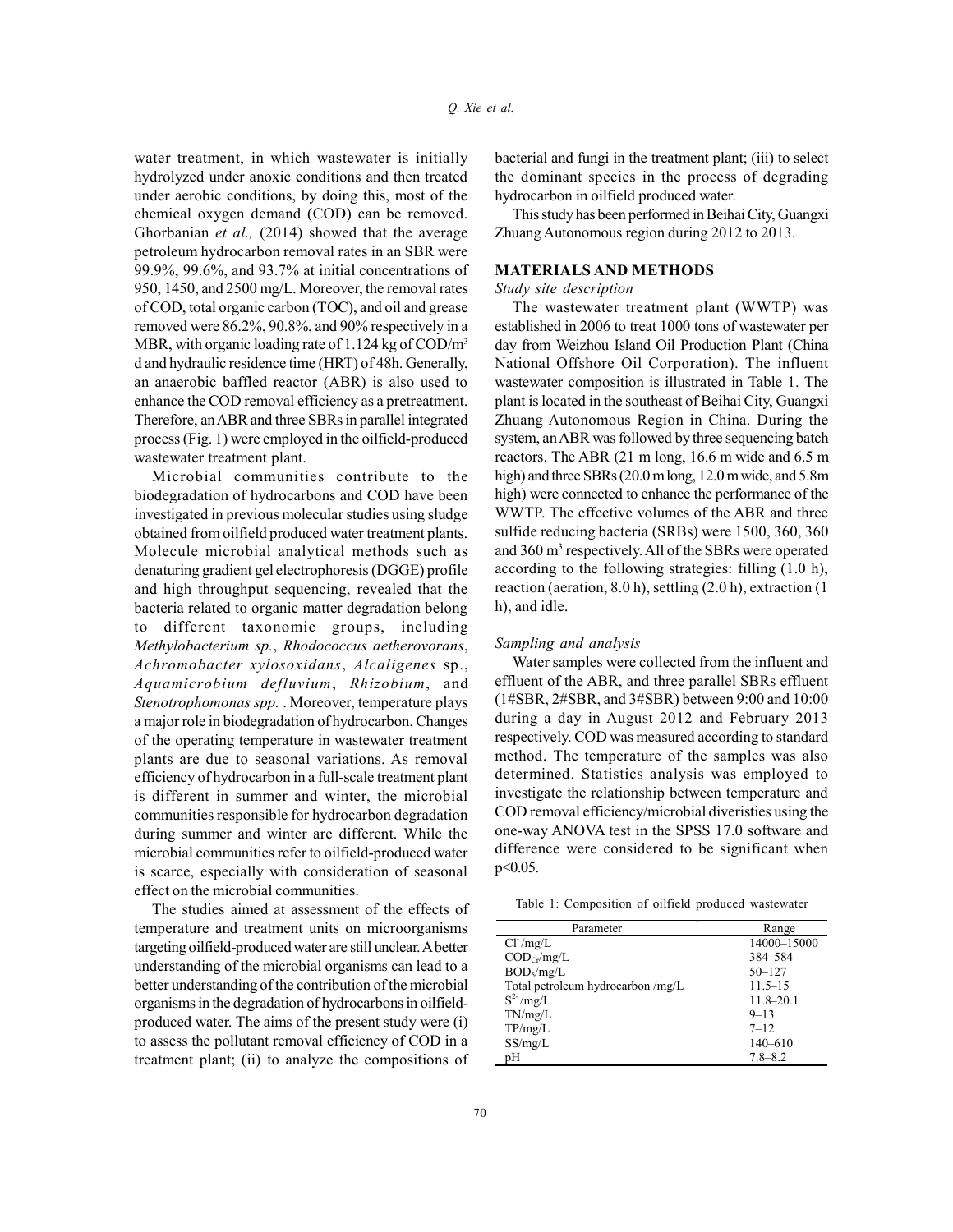water treatment, in which wastewater is initially hydrolyzed under anoxic conditions and then treated under aerobic conditions, by doing this, most of the chemical oxygen demand (COD) can be removed. Ghorbanian *et al.,* (2014) showed that the average petroleum hydrocarbon removal rates in an SBR were 99.9%, 99.6%, and 93.7% at initial concentrations of 950, 1450, and 2500 mg/L. Moreover, the removal rates  $Stu$ chemical oxygen demand (COD) can be removed.<br>
Ghorbanian *et al.*, (2014) showed that the average Zhu<br>
petroleum hydrocarbon removal rates in an SBR were<br>
99.9%, 99.6%, and 93.7% at initial concentrations of MA<br>
950, 1450 removed were 86.2%, 90.8%, and 90% respectively in a MBR, with organic loading rate of 1.124 kg of COD/m<sup>3</sup> d and hydraulic residence time (HRT) of 48h. Generally, an anaerobic baffled reactor (ABR) is also used to enhance the COD removal efficiency as a pretreatment. Therefore, an ABR and three SBRs in parallel integrated process (Fig. 1) were employed in the oilfield-produced wastewater treatment plant.

Microbial communities contribute to the biodegradation of hydrocarbons and COD have been investigated in previous molecular studies using sludge obtained from oilfield produced water treatment plants. Molecule microbial analytical methods such as denaturing gradient gel electrophoresis (DGGE) profile and high throughput sequencing, revealed that the bacteria related to organic matter degradation belong to different taxonomic groups, including *Methylobacterium sp.*, *Rhodococcus aetherovorans*, *Achromobacter xylosoxidans*, *Alcaligenes* sp., and high throughput sequencing, revealed that the<br>
bacteria related to organic matter degradation belong<br>
to different taxonomic groups, including<br> *Methylobacterium sp., Rhodococcus aetherovorans, Sampling an*<br> *Achromoba Stenotrophomonas spp.* . Moreover, temperature plays a major role in biodegradation of hydrocarbon. Changes of the operating temperature in wastewater treatment plants are due to seasonal variations. As removal efficiency of hydrocarbon in a full-scale treatment plant is different in summer and winter, the microbial communities responsible for hydrocarbon degradation during summer and winter are different. While the microbial communities refer to oilfield-produced water is scarce, especially with consideration of seasonal effect on the microbial communities.

The studies aimed at assessment of the effects of temperature and treatment units on microorganisms targeting oilfield-produced water are still unclear. A better understanding of the microbial organisms can lead to a better understanding of the contribution of the microbial organisms in the degradation of hydrocarbons in oilfieldproduced water. The aims of the present study were (i) to assess the pollutant removal efficiency of COD in a treatment plant; (ii) to analyze the compositions of

bacterial and fungi in the treatment plant; (iii) to select the dominant species in the process of degrading hydrocarbon in oilfield produced water.

This study has been performed in Beihai City, Guangxi Zhuang Autonomous region during 2012 to 2013.

#### **MATERIALS AND METHODS**

#### *Study site description*

The wastewater treatment plant (WWTP) was established in 2006 to treat 1000 tons of wastewater per day from Weizhou Island Oil Production Plant (China National Offshore Oil Corporation). The influent wastewater composition is illustrated in Table 1. The plant is located in the southeast of Beihai City, Guangxi Zhuang Autonomous Region in China. During the system, an ABR was followed by three sequencing batch reactors. The ABR (21 m long, 16.6 m wide and 6.5 m high) and three SBRs (20.0 m long, 12.0 m wide, and 5.8m high) were connected to enhance the performance of the WWTP. The effective volumes of the ABR and three system, an ABK was followed by three sequencing bach<br>reactors. The ABR (21 m long, 16.6 m wide and 6.5 m<br>high) and three SBRs (20.0 m long, 12.0 m wide, and 5.8m<br>high) were connected to enhance the performance of the<br>WWTP. and 360 m<sup>3</sup> respectively. All of the SBRs were operated according to the following strategies: filling (1.0 h), reaction (aeration, 8.0 h), settling (2.0 h), extraction (1 h), and idle.

#### *Sampling and analysis*

Water samples were collected from the influent and effluent of the ABR, and three parallel SBRs effluent (1#SBR, 2#SBR, and 3#SBR) between 9:00 and 10:00 during a day in August 2012 and February 2013 respectively. COD was measured according to standard method. The temperature of the samples was also determined. Statistics analysis was employed to investigate the relationship between temperature and COD removal efficiency/microbial diveristies using the one-way ANOVA test in the SPSS 17.0 software and difference were considered to be significant when p<0.05.

Table 1: Composition of oilfield produced wastewater

| Parameter                            | Range         |
|--------------------------------------|---------------|
| $Cl^r/mg/L$                          | 14000-15000   |
| $\text{COD}_{\text{Cr}}/\text{mg/L}$ | 384-584       |
| $BOD\sqrt{mg/L}$                     | $50 - 127$    |
| Total petroleum hydrocarbon /mg/L    | $11.5 - 15$   |
| $S^2$ -/mg/L                         | $11.8 - 20.1$ |
| TN/mg/L                              | $9 - 13$      |
| TP/mg/L                              | $7 - 12$      |
| SS/mg/L                              | $140 - 610$   |
| pH                                   | $7.8 - 8.2$   |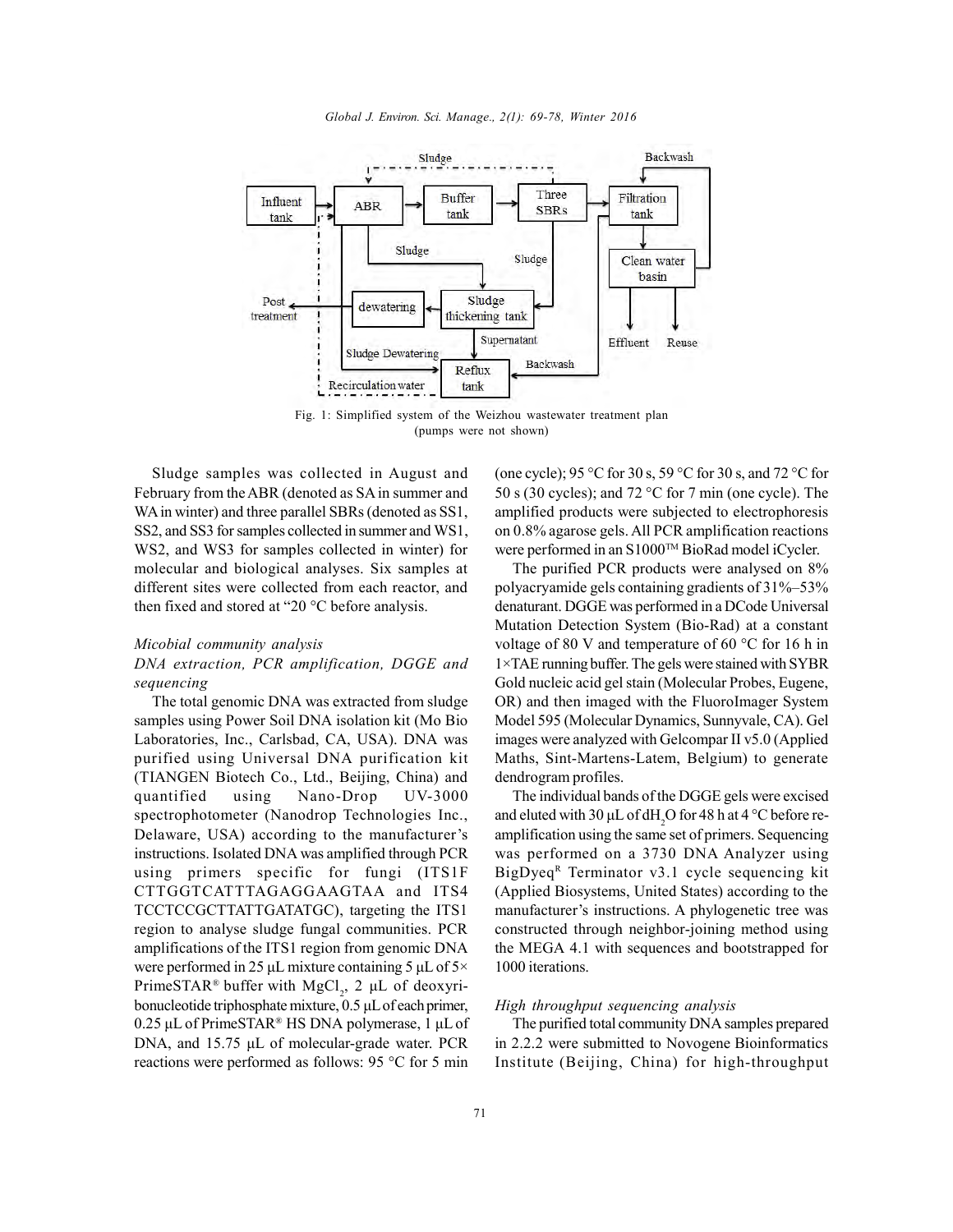

(pumps were not shown)

Sludge samples was collected in August and February from the ABR (denoted as SA in summer and WA in winter) and three parallel SBRs (denoted as SS1, SS2, and SS3 for samples collected in summer and WS1, WS2, and WS3 for samples collected in winter) for molecular and biological analyses. Six samples at different sites were collected from each reactor, and then fixed and stored at "20 $\degree$ C before analysis.

### *Micobial community analysis*

## *DNA extraction, PCR amplification, DGGE and sequencing*

The total genomic DNA was extracted from sludge samples using Power Soil DNA isolation kit (Mo Bio Laboratories, Inc., Carlsbad, CA, USA). DNA was purified using Universal DNA purification kit (TIANGEN Biotech Co., Ltd., Beijing, China) and quantified using Nano-Drop UV-3000 spectrophotometer (Nanodrop Technologies Inc., Delaware, USA) according to the manufacturer's instructions. Isolated DNA was amplified through PCR (TANGEN Biotech Co., Etd., Beijing, China) and<br>quantified using Nano-Drop UV-3000 The in<br>spectrophotometer (Nanodrop Technologies Inc., and elute<br>Delaware, USA) according to the manufacturer's amplifici<br>instructions. Isola CTTGGTCATTTAGAGGAAGTAA and ITS4 TCCTCCGCTTATTGATATGC), targeting the ITS1 region to analyse sludge fungal communities. PCR amplifications of the ITS1 region from genomic DNA were performed in 25 μL mixture containing 5 μL of 5× PrimeSTAR® buffer with  $MgCl_2$ , 2 µL of deoxyribonucleotide triphosphate mixture, 0.5 μL of each primer, and the M were performed in 25 μL mixture containing 5 μL of 5× 1000 PrimeSTAR® buffer with MgCl<sub>2</sub>, 2 μL of deoxyribonucleotide triphosphate mixture, 0.5 μL of e DNA, and 15.75 μL of molecular-grade water. PCR reactions were performed as follows: 95 °C for 5 min

(one cycle); 95 °C for 30 s, 59 °C for 30 s, and 72 °C for 50 s (30 cycles); and 72 °C for 7 min (one cycle). The amplified products were subjected to electrophoresis on 0.8% agarose gels. All PCR amplification reactions were performed in an S1000™ BioRad model iCycler.

The purified PCR products were analysed on 8% polyacryamide gels containing gradients of 31%–53% denaturant. DGGE was performed in a DCode Universal Mutation Detection System (Bio-Rad) at a constant voltage of 80 V and temperature of 60 °C for 16 h in 1×TAE running buffer. The gels were stained with SYBR Gold nucleic acid gel stain (Molecular Probes, Eugene, OR) and then imaged with the FluoroImager System Model 595 (Molecular Dynamics, Sunnyvale, CA). Gel images were analyzed with Gelcompar II v5.0 (Applied Maths, Sint-Martens-Latem, Belgium) to generate dendrogram profiles.

The individual bands of the DGGE gels were excised and eluted with 30  $\mu$ L of dH<sub>2</sub>O for 48 h at 4 °C before reamplification using the same set of primers. Sequencing was performed on a 3730 DNA Analyzer using BigDyeq<sup>R</sup> Terminator v3.1 cycle sequencing kit (Applied Biosystems, United States) according to the manufacturer's instructions. A phylogenetic tree was constructed through neighbor-joining method using the MEGA 4.1 with sequences and bootstrapped for 1000 iterations.

### *High throughput sequencing analysis*

The purified total community DNA samples prepared in 2.2.2 were submitted to Novogene Bioinformatics Institute (Beijing, China) for high-throughput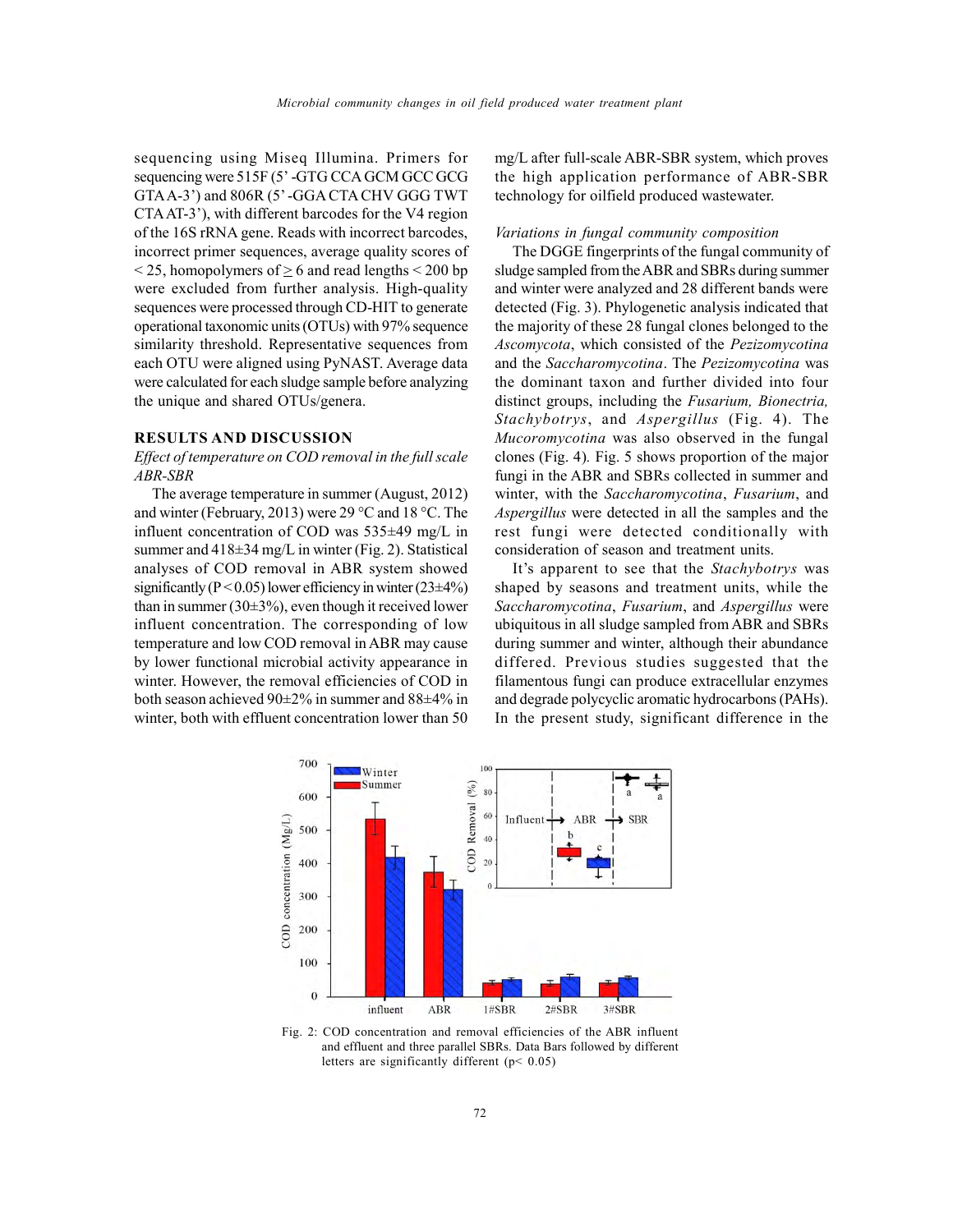sequencing using Miseq Illumina. Primers for sequencing were 515F (5' -GTG CCA GCM GCC GCG GTA A-3') and 806R (5' -GGA CTA CHV GGG TWT CTA AT-3'), with different barcodes for the V4 region of the 16S rRNA gene. Reads with incorrect barcodes, incorrect primer sequences, average quality scores of  $\leq$  25, homopolymers of  $\geq$  6 and read lengths  $\leq$  200 bp were excluded from further analysis. High-quality sequences were processed through CD-HIT to generate operational taxonomic units (OTUs) with 97% sequence similarity threshold. Representative sequences from each OTU were aligned using PyNAST. Average data were calculated for each sludge sample before analyzing the unique and shared OTUs/genera.

#### **RESULTS AND DISCUSSION**

## *Effect of temperature on COD removal in the full scale ABR-SBR*

The average temperature in summer (August, 2012) and winter (February, 2013) were 29 °C and 18 °C. The influent concentration of COD was 535±49 mg/L in summer and  $418\pm34$  mg/L in winter (Fig. 2). Statistical analyses of COD removal in ABR system showed significantly ( $P < 0.05$ ) lower efficiency in winter ( $23\pm4\%$ ) than in summer (30 $\pm$ 3%), even though it received lower influent concentration. The corresponding of low temperature and low COD removal in ABR may cause by lower functional microbial activity appearance in winter. However, the removal efficiencies of COD in both season achieved 90±2% in summer and 88±4% in winter, both with effluent concentration lower than 50

mg/L after full-scale ABR-SBR system, which proves the high application performance of ABR-SBR technology for oilfield produced wastewater.

#### *Variations in fungal community composition*

The DGGE fingerprints of the fungal community of sludge sampled from the ABR and SBRs during summer and winter were analyzed and 28 different bands were detected (Fig. 3). Phylogenetic analysis indicated that the majority of these 28 fungal clones belonged to the *Ascomycota*, which consisted of the *Pezizomycotina* and the *Saccharomycotina*. The *Pezizomycotina* was the dominant taxon and further divided into four distinct groups, including the *Fusarium, Bionectria, Stachybotrys*, and *Aspergillus* (Fig. 4). The *Mucoromycotina* was also observed in the fungal clones (Fig. 4)*.* Fig. 5 shows proportion of the major fungi in the ABR and SBRs collected in summer and winter, with the *Saccharomycotina*, *Fusarium*, and *Aspergillus* were detected in all the samples and the rest fungi were detected conditionally with consideration of season and treatment units.

It's apparent to see that the *Stachybotrys* was shaped by seasons and treatment units, while the *Saccharomycotina*, *Fusarium*, and *Aspergillus* were ubiquitous in all sludge sampled from ABR and SBRs during summer and winter, although their abundance differed. Previous studies suggested that the filamentous fungi can produce extracellular enzymes and degrade polycyclic aromatic hydrocarbons (PAHs). In the present study, significant difference in the



Fig. 2: COD concentration and removal efficiencies of the ABR influent and effluent and three parallel SBRs. Data Bars followed by different letters are significantly different (p< 0.05)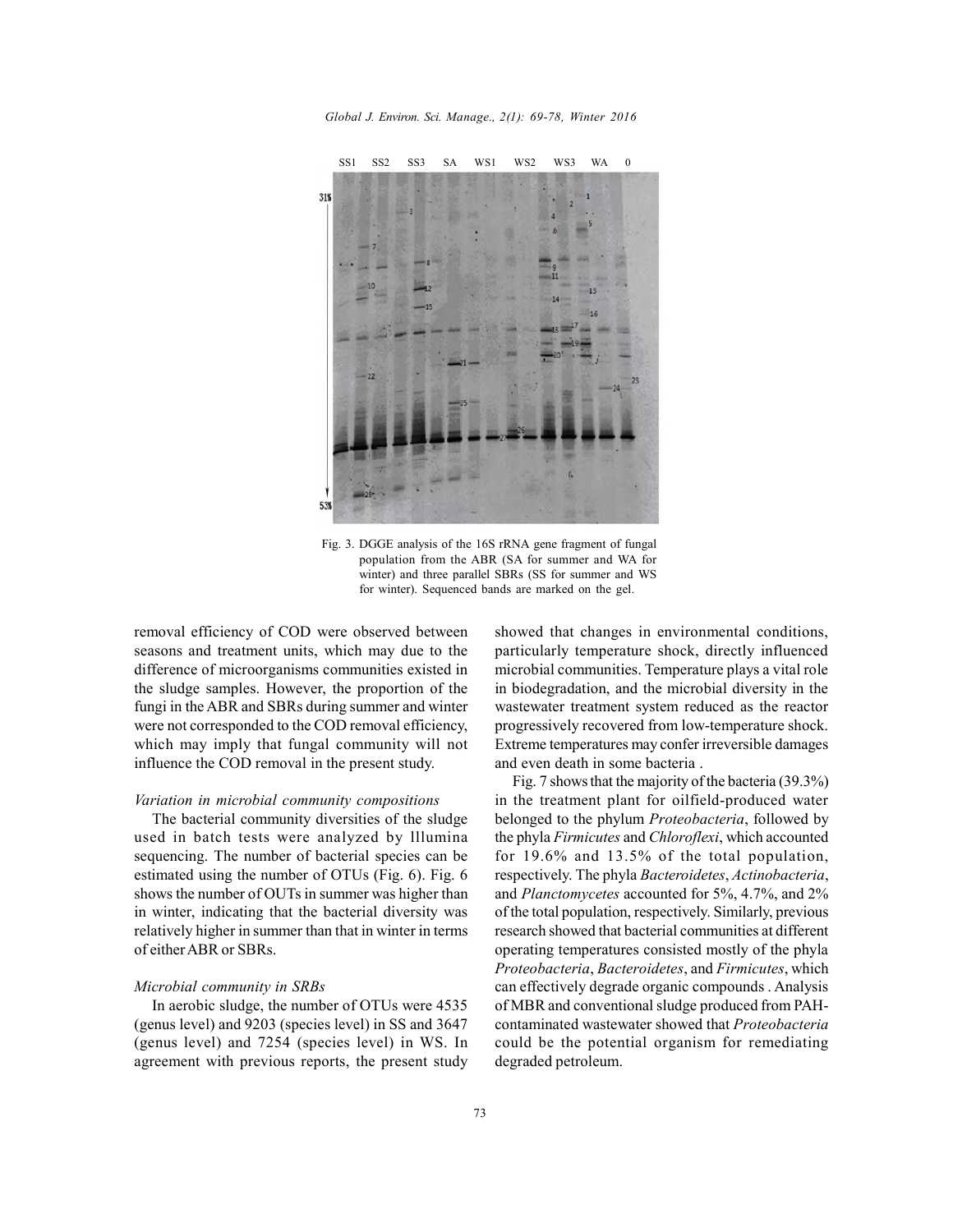*Global J. Environ. Sci. Manage., 2(1): 69-78, Winter 2016*



Fig. 3. DGGE analysis of the 16S rRNA gene fragment of fungal population from the ABR (SA for summer and WA for winter) and three parallel SBRs (SS for summer and WS for winter). Sequenced bands are marked on the gel.

removal efficiency of COD were observed between seasons and treatment units, which may due to the difference of microorganisms communities existed in the sludge samples. However, the proportion of the fungi in the ABR and SBRs during summer and winter were not corresponded to the COD removal efficiency, which may imply that fungal community will not influence the COD removal in the present study.

#### *Variation in microbial community compositions*

The bacterial community diversities of the sludge used in batch tests were analyzed by lllumina sequencing. The number of bacterial species can be estimated using the number of OTUs (Fig. 6). Fig. 6 shows the number of OUTs in summer was higher than in winter, indicating that the bacterial diversity was relatively higher in summer than that in winter in terms of either ABR or SBRs.

#### *Microbial community in SRBs*

In aerobic sludge, the number of OTUs were 4535 (genus level) and 9203 (species level) in SS and 3647 (genus level) and 7254 (species level) in WS. In agreement with previous reports, the present study showed that changes in environmental conditions, particularly temperature shock, directly influenced microbial communities. Temperature plays a vital role in biodegradation, and the microbial diversity in the wastewater treatment system reduced as the reactor progressively recovered from low-temperature shock. Extreme temperatures may confer irreversible damages and even death in some bacteria .

Fig. 7 shows that the majority of the bacteria (39.3%) in the treatment plant for oilfield-produced water belonged to the phylum *Proteobacteria*, followed by the phyla *Firmicutes* and *Chloroflexi*, which accounted for 19.6% and 13.5% of the total population, respectively. The phyla *Bacteroidetes*, *Actinobacteria*, and *Planctomycetes* accounted for 5%, 4.7%, and 2% of the total population, respectively. Similarly, previous research showed that bacterial communities at different operating temperatures consisted mostly of the phyla *Proteobacteria*, *Bacteroidetes*, and *Firmicutes*, which can effectively degrade organic compounds . Analysis of MBR and conventional sludge produced from PAHcontaminated wastewater showed that *Proteobacteria* could be the potential organism for remediating degraded petroleum.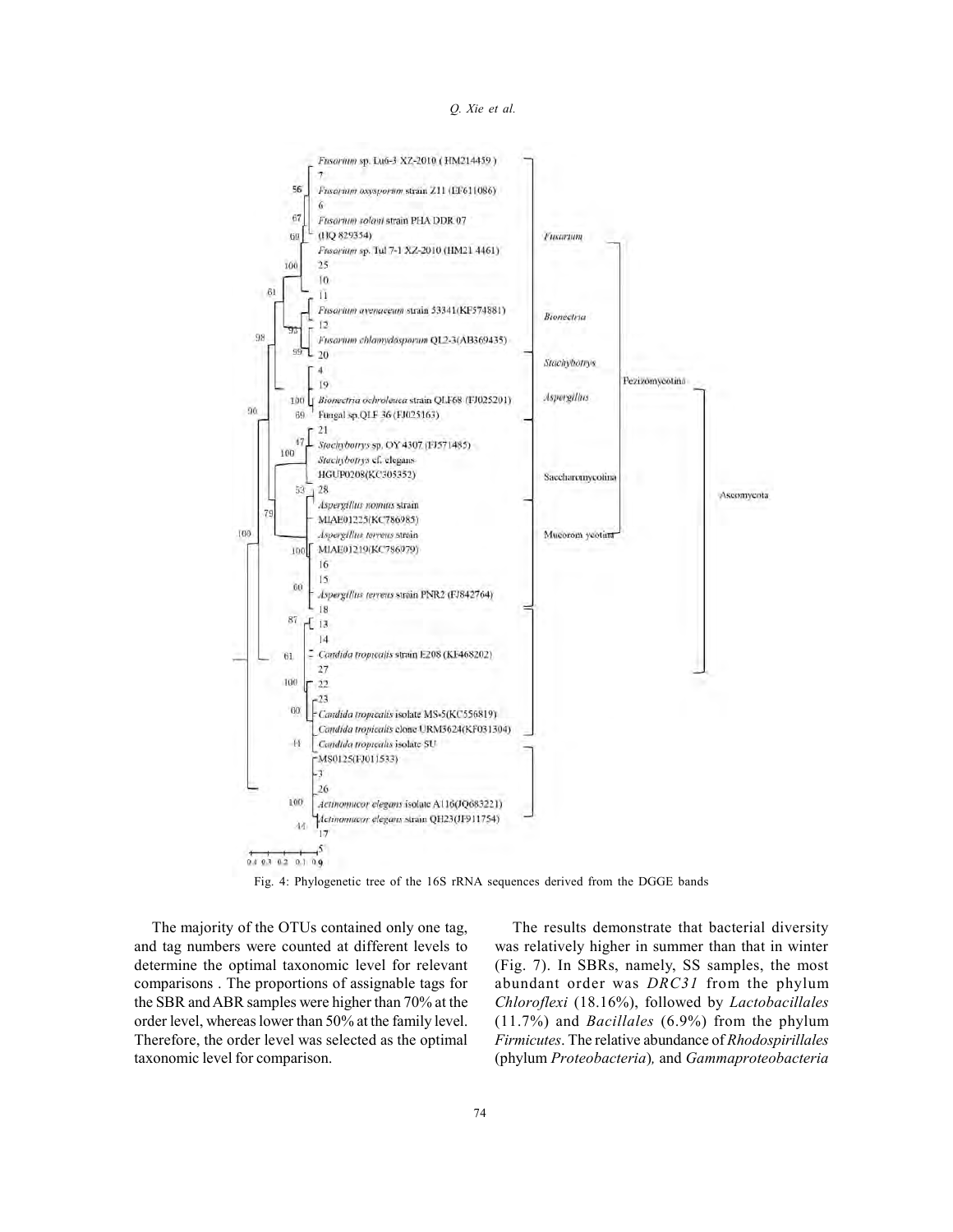



Fig. 4: Phylogenetic tree of the 16S rRNA sequences derived from the DGGE bands

The majority of the OTUs contained only one tag, and tag numbers were counted at different levels to determine the optimal taxonomic level for relevant comparisons . The proportions of assignable tags for the SBR and ABR samples were higher than 70% at the order level, whereas lower than 50% at the family level. Therefore, the order level was selected as the optimal taxonomic level for comparison.

The results demonstrate that bacterial diversity was relatively higher in summer than that in winter (Fig. 7). In SBRs, namely, SS samples, the most abundant order was *DRC31* from the phylum *Chloroflexi* (18.16%), followed by *Lactobacillales* (11.7%) and *Bacillales* (6.9%) from the phylum *Firmicutes*. The relative abundance of *Rhodospirillales* (phylum *Proteobacteria*)*,* and *Gammaproteobacteria*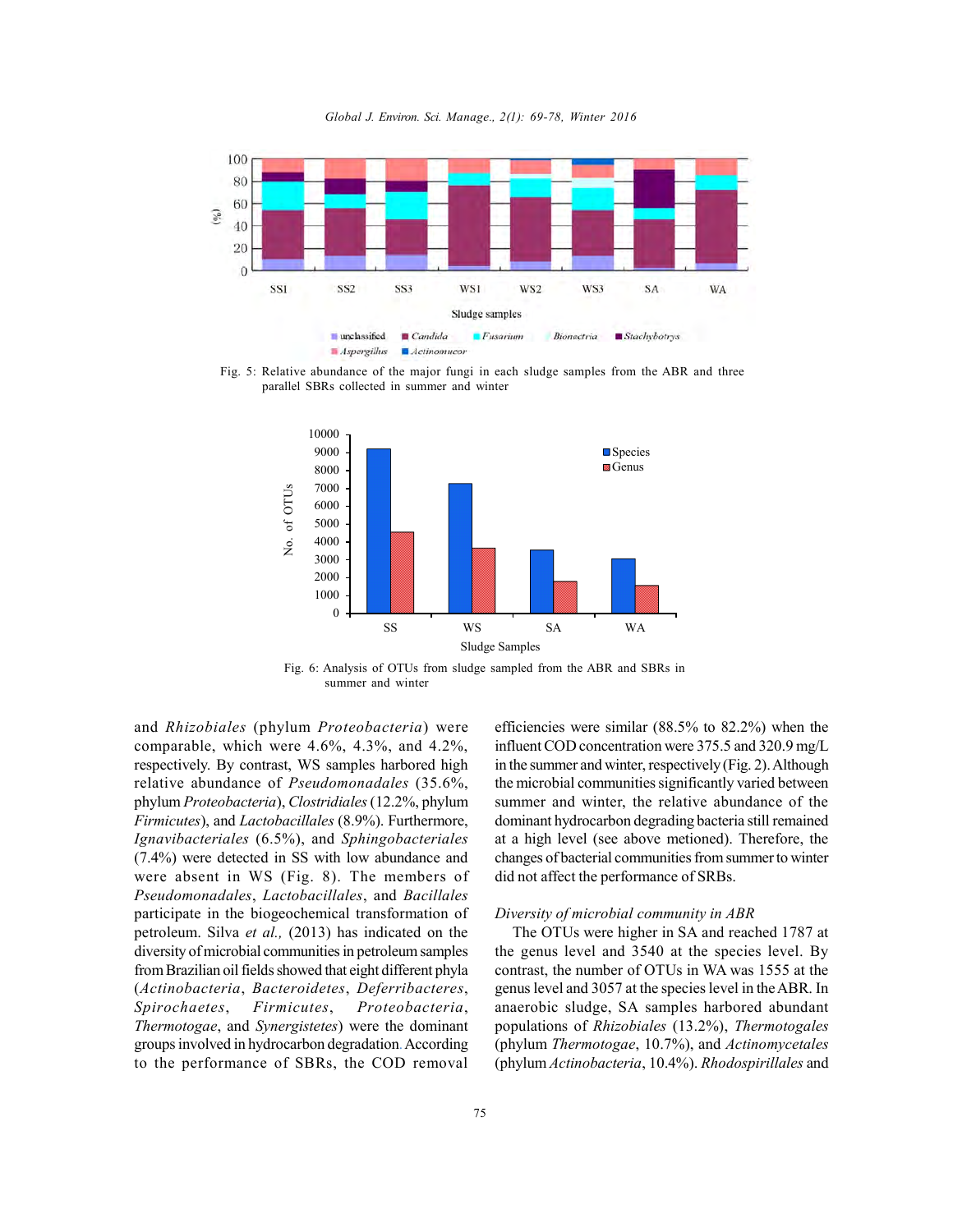*Global J. Environ. Sci. Manage., 2(1): 69-78, Winter 2016*



Fig. 5: Relative abundance of the major fungi in each sludge samples from the ABR and three



Fig. 6: Analysis of OTUs from sludge sampled from the ABR and SBRs in summer and winter

and *Rhizobiales* (phylum *Proteobacteria*) were comparable, which were 4.6%, 4.3%, and 4.2%, respectively. By contrast, WS samples harbored high relative abundance of *Pseudomonadales* (35.6%, phylum *Proteobacteria*), *Clostridiales*(12.2%, phylum and *Khizobiales* (phylum *Proteobacteria*) were<br>
comparable, which were 4.6%, 4.3%, and 4.2%,<br>
respectively. By contrast, WS samples harbored high<br>
relative abundance of *Pseudomonadales* (35.6%,<br>
phylum *Proteobacteria*) *Ignavibacteriales* (6.5%), and *Sphingobacteriales* (7.4%) were detected in SS with low abundance and relative abundance of *Pseudomondadies* (35.6%,<br>phylum *Proteobacteria*), *Clostridiales* (12.2%, phylum<br>*Firmicutes*), and *Lactobacillales* (8.9%). Furthermore,<br>*Ignavibacteriales* (6.5%), and *Sphingobacteriales* at<br>(7. phylum *Proteobacteria*), Clostrialales (12.2%, phylum<br>*Firmicutes*), and *Lactobacillales* (8.9%). Furthermore, doing<br>*Ignavibacteriales* (6.5%), and *Sphingobacteriales* at<br>(7.4%) were detected in SS with low abundance a participate in the biogeochemical transformation of petroleum. Silva *et al.,* (2013) has indicated on the diversity of microbial communities in petroleum samples from Brazilian oil fields showed that eight different phyla (*Actinobacteria*, *Bacteroidetes*, *Deferribacteres*, *Spirochaetes*, *Firmicutes*, *Proteobacteria*, *Thermotogae*, and *Synergistetes*) were the dominant groups involved in hydrocarbon degradation. According to the performance of SBRs, the COD removal

efficiencies were similar (88.5% to 82.2%) when the influent COD concentration were 375.5 and 320.9 mg/L in the summer and winter, respectively (Fig. 2). Although the microbial communities significantly varied between summer and winter, the relative abundance of the dominant hydrocarbon degrading bacteria still remained at a high level (see above metioned). Therefore, the changes of bacterial communities from summer to winter did not affect the performance of SRBs.

### *Diversity of microbial community in ABR*

The OTUs were higher in SA and reached 1787 at the genus level and 3540 at the species level. By contrast, the number of OTUs in WA was 1555 at the genus level and 3057 at the species level in the ABR. In anaerobic sludge, SA samples harbored abundant populations of *Rhizobiales* (13.2%), *Thermotogales* (phylum *Thermotogae*, 10.7%), and *Actinomycetales* (phylum *Actinobacteria*, 10.4%). *Rhodospirillales* and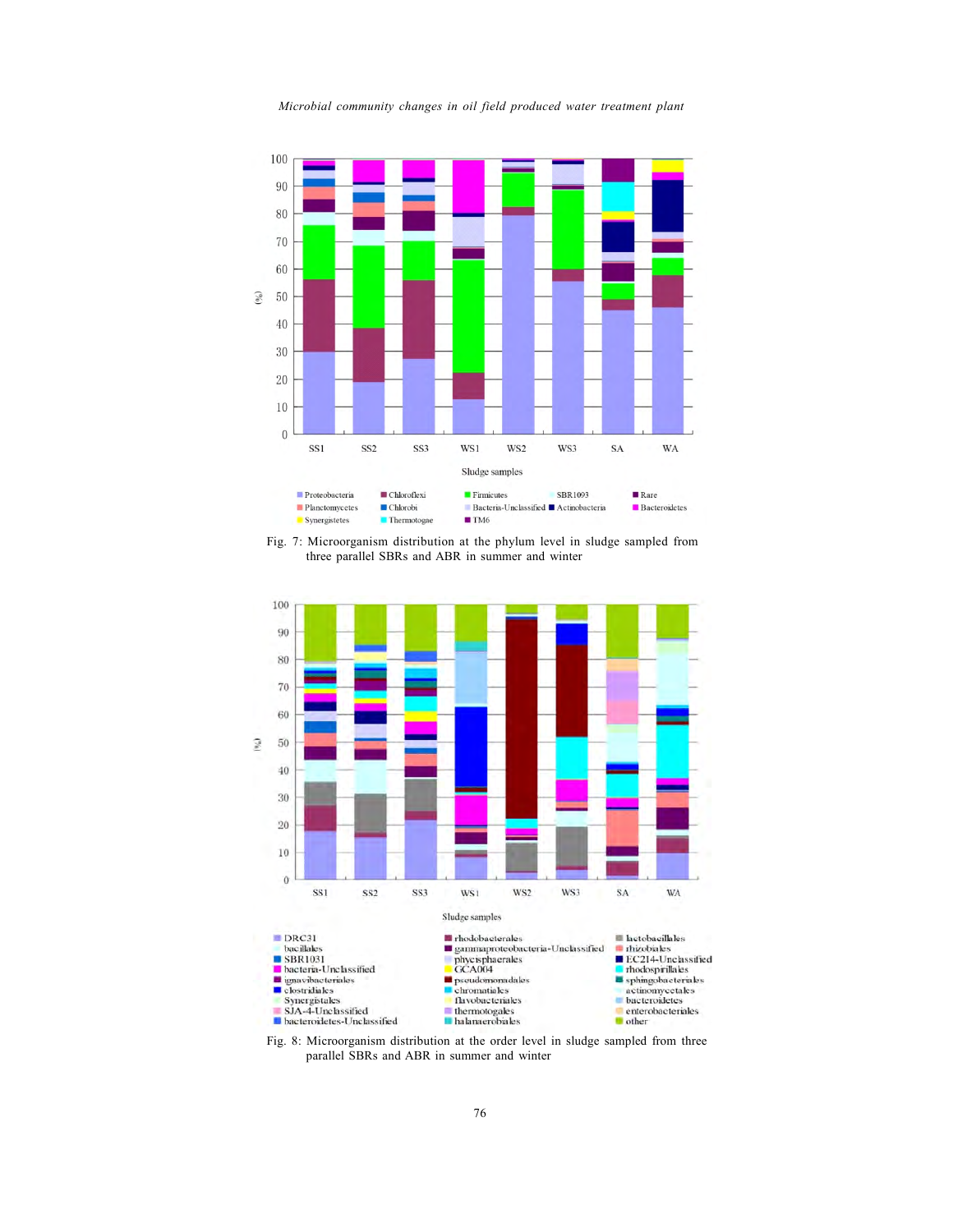

*Microbial community changes in oil field produced water treatment plant*

Fig. 7: Microorganism distribution at the phylum level in sludge sampled from three parallel SBRs and ABR in summer and winter



Fig. 8: Microorganism distribution at the order level in sludge sampled from three parallel SBRs and ABR in summer and winter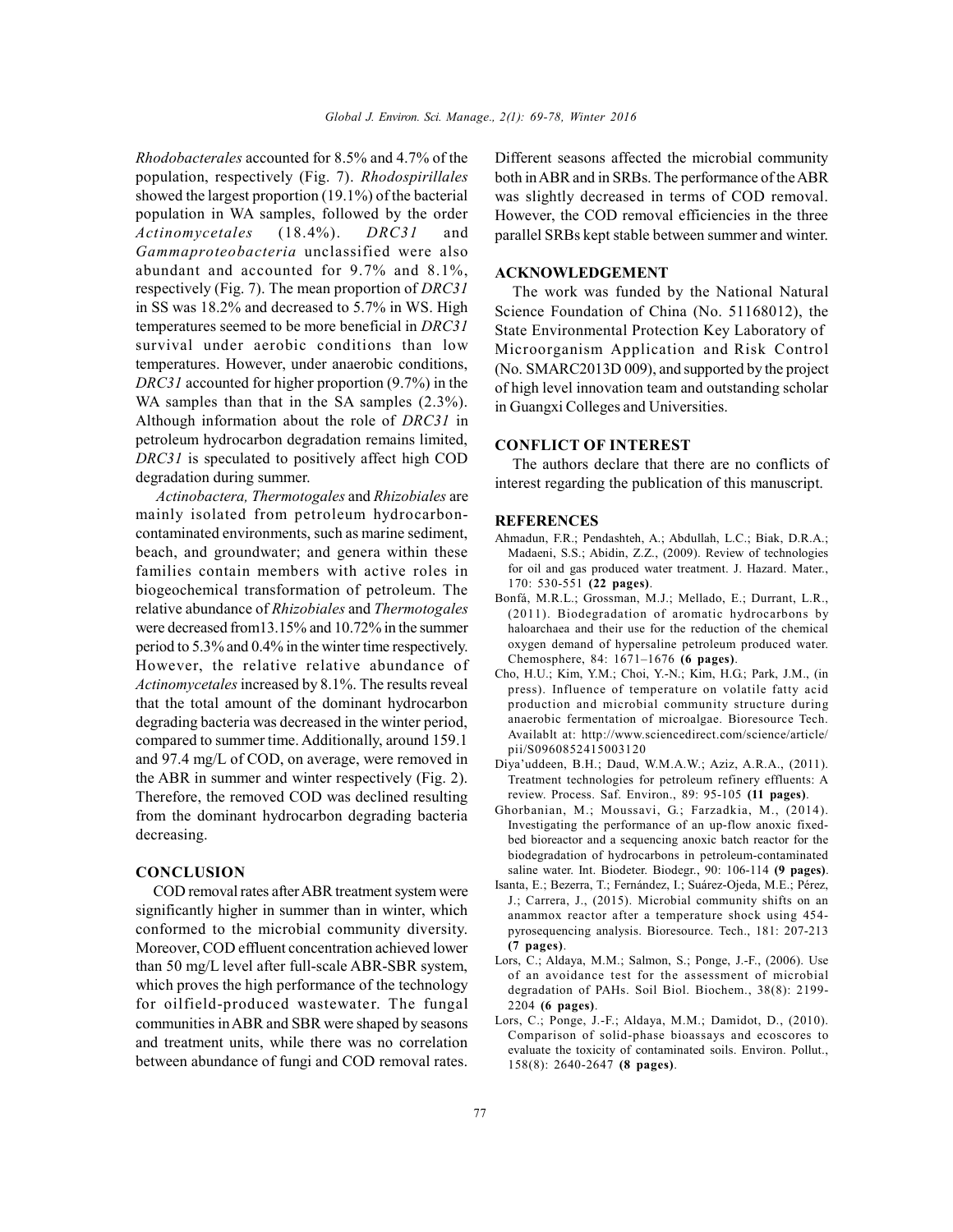*Rhodobacterales* accounted for 8.5% and 4.7% of the population, respectively (Fig. 7). *Rhodospirillales* showed the largest proportion (19.1%) of the bacterial population in WA samples, followed by the order *Actinomycetales* (18.4%). *DRC31* and *Gammaproteobacteria* unclassified were also abundant and accounted for 9.7% and 8.1%, respectively (Fig. 7). The mean proportion of *DRC31* in SS was 18.2% and decreased to 5.7% in WS. High temperatures seemed to be more beneficial in *DRC31* survival under aerobic conditions than low temperatures. However, under anaerobic conditions, *DRC31* accounted for higher proportion (9.7%) in the WA samples than that in the SA samples  $(2.3\%)$ . Although information about the role of *DRC31* in petroleum hydrocarbon degradation remains limited, *DRC31* is speculated to positively affect high COD degradation during summer. *Actinobactera, Thermotogales* and *Rhizobiales* are<br> *Actinobactera, Thermotogales* and *Rhizobiales* are<br> *Actinobactera, Thermotogales* and *Rhizobiales* are<br> *Actinobactera, Thermotogales* and *Rhizobiales* are<br>
integr

mainly isolated from petroleum hydrocarboncontaminated environments, such as marine sediment, beach, and groundwater; and genera within these families contain members with active roles in biogeochemical transformation of petroleum. The relative abundance of *Rhizobiales* and *Thermotogales* were decreased from13.15% and 10.72% in the summer period to 5.3% and 0.4% in the winter time respectively. However, the relative relative abundance of *Actinomycetales* increased by 8.1%. The results reveal that the total amount of the dominant hydrocarbon degrading bacteria was decreased in the winter period, compared to summer time. Additionally, around 159.1 and 97.4 mg/L of COD, on average, were removed in the ABR in summer and winter respectively (Fig. 2). Therefore, the removed COD was declined resulting from the dominant hydrocarbon degrading bacteria decreasing.

# **CONCLUSION**

COD removal rates after ABR treatment system were significantly higher in summer than in winter, which conformed to the microbial community diversity. Moreover, COD effluent concentration achieved lower than 50 mg/L level after full-scale ABR-SBR system, which proves the high performance of the technology for oilfield-produced wastewater. The fungal communities in ABR and SBR were shaped by seasons and treatment units, while there was no correlation between abundance of fungi and COD removal rates.

Different seasons affected the microbial community both in ABR and in SRBs. The performance of the ABR was slightly decreased in terms of COD removal. However, the COD removal efficiencies in the three parallel SRBs kept stable between summer and winter.

## **ACKNOWLEDGEMENT**

The work was funded by the National Natural Science Foundation of China (No. 51168012), the State Environmental Protection Key Laboratory of Microorganism Application and Risk Control (No. SMARC2013D 009), and supported by the project of high level innovation team and outstanding scholar in Guangxi Colleges and Universities.

# **CONFLICT OF INTEREST**

The authors declare that there are no conflicts of interest regarding the publication of this manuscript.

#### **REFERENCES**

- Ahmadun, F.R.; Pendashteh, A.; Abdullah, L.C.; Biak, D.R.A.; Madaeni, S.S.; Abidin, Z.Z., (2009). Review of technologies for oil and gas produced water treatment. J. Hazard. Mater., 170: 530-551 **(22 pages)**.
- Bonfá, M.R.L.; Grossman, M.J.; Mellado, E.; Durrant, L.R., (2011). Biodegradation of aromatic hydrocarbons by haloarchaea and their use for the reduction of the chemical oxygen demand of hypersaline petroleum produced water. Chemosphere, 84: 1671–1676 **(6 pages)**.
- Cho, H.U.; Kim, Y.M.; Choi, Y.-N.; Kim, H.G.; Park, J.M., (in press). Influence of temperature on volatile fatty acid production and microbial community structure during anaerobic fermentation of microalgae. Bioresource Tech. Availablt at: http://www.sciencedirect.com/science/article/ pii/S0960852415003120
- Diya'uddeen, B.H.; Daud, W.M.A.W.; Aziz, A.R.A., (2011). Treatment technologies for petroleum refinery effluents: A review. Process. Saf. Environ., 89: 95-105 **(11 pages)**.
- Ghorbanian, M.; Moussavi, G.; Farzadkia, M., (2014). Investigating the performance of an up-flow anoxic fixedbed bioreactor and a sequencing anoxic batch reactor for the biodegradation of hydrocarbons in petroleum-contaminated saline water. Int. Biodeter. Biodegr., 90: 106-114 **(9 pages)**.
- Isanta, E.; Bezerra, T.; Fernández, I.; Suárez-Ojeda, M.E.; Pérez, J.; Carrera, J., (2015). Microbial community shifts on an anammox reactor after a temperature shock using 454 pyrosequencing analysis. Bioresource. Tech., 181: 207-213 **(7 pages)**.
- Lors, C.; Aldaya, M.M.; Salmon, S.; Ponge, J.-F., (2006). Use of an avoidance test for the assessment of microbial degradation of PAHs. Soil Biol. Biochem., 38(8): 2199- 2204 **(6 pages)**.
- Lors, C.; Ponge, J.-F.; Aldaya, M.M.; Damidot, D., (2010). Comparison of solid-phase bioassays and ecoscores to evaluate the toxicity of contaminated soils. Environ. Pollut., 158(8): 2640-2647 **(8 pages)**.